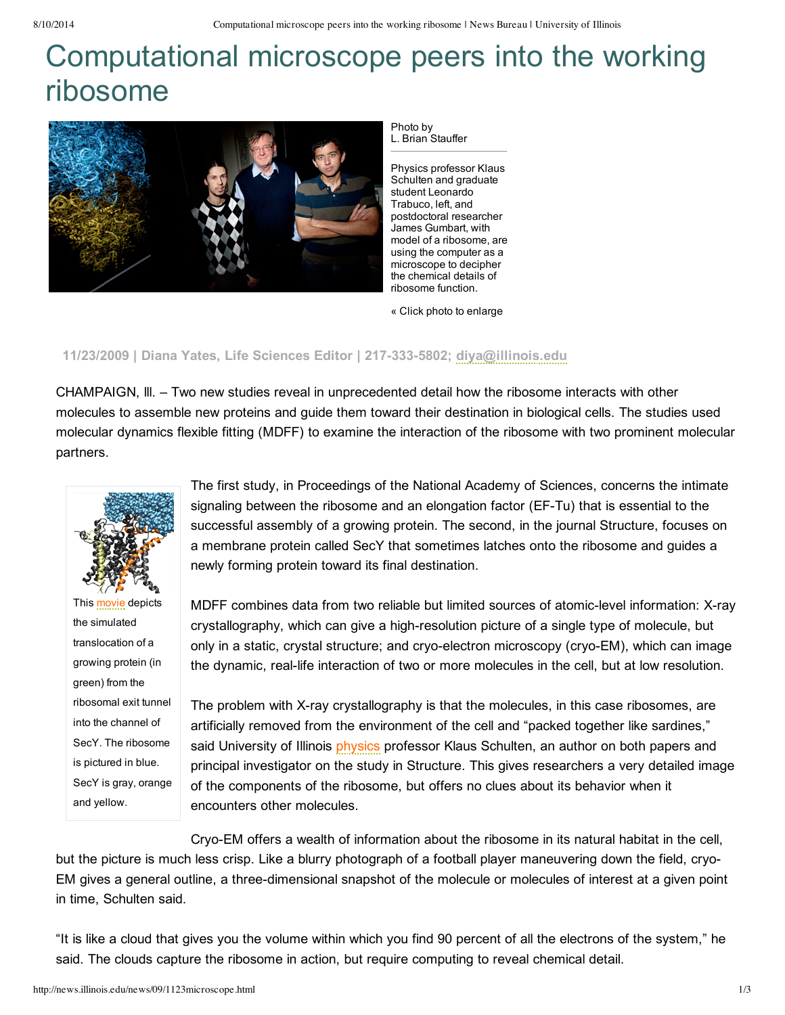## Computational microscope peers into the working ribosome



Photo by L. Brian Stauffer

Physics professor Klaus Schulten and graduate student Leonardo Trabuco, left, and postdoctoral researcher James Gumbart, with model of a ribosome, are using the computer as a microscope to decipher the chemical details of ribosome function.

« Click photo to enlarge

## **11/23/2009 | Diana Yates, Life Sciences Editor | 2173335802; [diya@illinois.edu](mailto:diya@illinois.edu)**

CHAMPAIGN, lll. – Two new studies reveal in unprecedented detail how the ribosome interacts with other molecules to assemble new proteins and guide them toward their destination in biological cells. The studies used molecular dynamics flexible fitting (MDFF) to examine the interaction of the ribosome with two prominent molecular partners.



This [movie](http://news.illinois.edu/WebsandThumbs/Schulten,Klaus/Schulten-protein-translocation.mpg) depicts the simulated translocation of a growing protein (in green) from the ribosomal exit tunnel into the channel of SecY. The ribosome is pictured in blue. SecY is gray, orange and yellow.

The first study, in Proceedings of the National Academy of Sciences, concerns the intimate signaling between the ribosome and an elongation factor (EF-Tu) that is essential to the successful assembly of a growing protein. The second, in the journal Structure, focuses on a membrane protein called SecY that sometimes latches onto the ribosome and guides a newly forming protein toward its final destination.

MDFF combines data from two reliable but limited sources of atomic-level information: X-ray crystallography, which can give a high-resolution picture of a single type of molecule, but only in a static, crystal structure; and cryo-electron microscopy (cryo-EM), which can image the dynamic, real-life interaction of two or more molecules in the cell, but at low resolution.

The problem with X-ray crystallography is that the molecules, in this case ribosomes, are artificially removed from the environment of the cell and "packed together like sardines," said University of Illinois [physics](http://www.physics.illinois.edu/) professor Klaus Schulten, an author on both papers and principal investigator on the study in Structure. This gives researchers a very detailed image of the components of the ribosome, but offers no clues about its behavior when it encounters other molecules.

Cryo-EM offers a wealth of information about the ribosome in its natural habitat in the cell, but the picture is much less crisp. Like a blurry photograph of a football player maneuvering down the field, cryo-EM gives a general outline, a three-dimensional snapshot of the molecule or molecules of interest at a given point in time, Schulten said.

"It is like a cloud that gives you the volume within which you find 90 percent of all the electrons of the system," he said. The clouds capture the ribosome in action, but require computing to reveal chemical detail.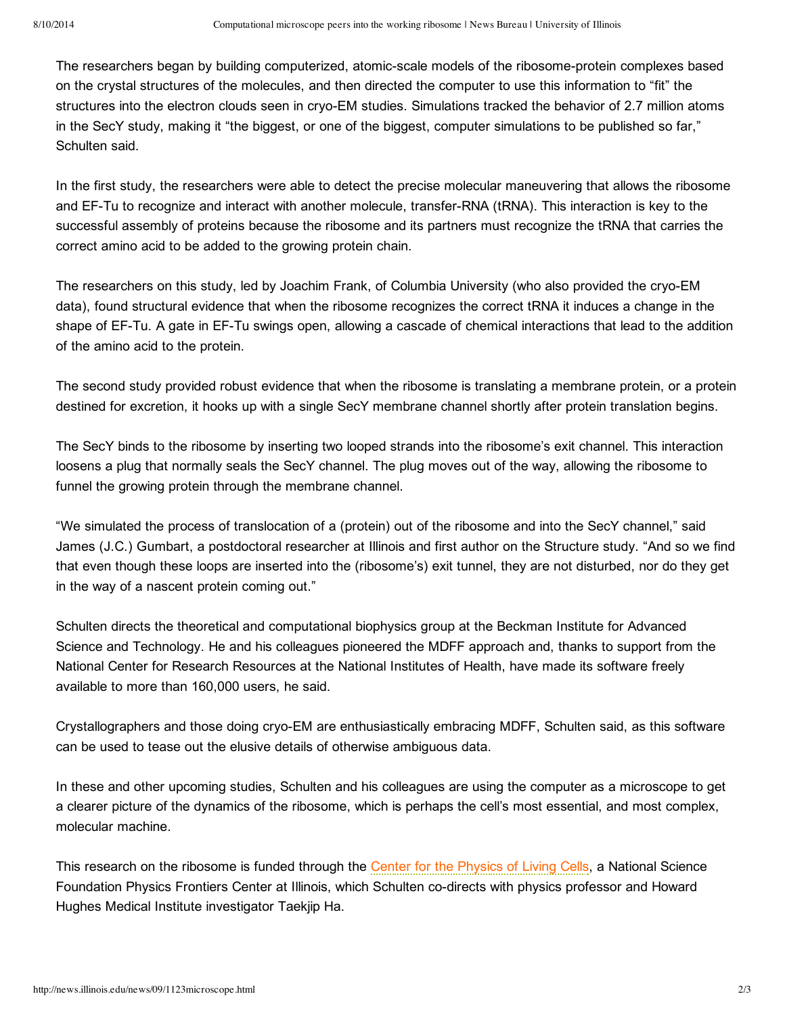The researchers began by building computerized, atomic-scale models of the ribosome-protein complexes based on the crystal structures of the molecules, and then directed the computer to use this information to "fit" the structures into the electron clouds seen in cryo-EM studies. Simulations tracked the behavior of 2.7 million atoms in the SecY study, making it "the biggest, or one of the biggest, computer simulations to be published so far," Schulten said.

In the first study, the researchers were able to detect the precise molecular maneuvering that allows the ribosome and EF-Tu to recognize and interact with another molecule, transfer-RNA (tRNA). This interaction is key to the successful assembly of proteins because the ribosome and its partners must recognize the tRNA that carries the correct amino acid to be added to the growing protein chain.

The researchers on this study, led by Joachim Frank, of Columbia University (who also provided the cryo-EM data), found structural evidence that when the ribosome recognizes the correct tRNA it induces a change in the shape of EF-Tu. A gate in EF-Tu swings open, allowing a cascade of chemical interactions that lead to the addition of the amino acid to the protein.

The second study provided robust evidence that when the ribosome is translating a membrane protein, or a protein destined for excretion, it hooks up with a single SecY membrane channel shortly after protein translation begins.

The SecY binds to the ribosome by inserting two looped strands into the ribosome's exit channel. This interaction loosens a plug that normally seals the SecY channel. The plug moves out of the way, allowing the ribosome to funnel the growing protein through the membrane channel.

"We simulated the process of translocation of a (protein) out of the ribosome and into the SecY channel," said James (J.C.) Gumbart, a postdoctoral researcher at Illinois and first author on the Structure study. "And so we find that even though these loops are inserted into the (ribosome's) exit tunnel, they are not disturbed, nor do they get in the way of a nascent protein coming out."

Schulten directs the theoretical and computational biophysics group at the Beckman Institute for Advanced Science and Technology. He and his colleagues pioneered the MDFF approach and, thanks to support from the National Center for Research Resources at the National Institutes of Health, have made its software freely available to more than 160,000 users, he said.

Crystallographers and those doing cryo-EM are enthusiastically embracing MDFF, Schulten said, as this software can be used to tease out the elusive details of otherwise ambiguous data.

In these and other upcoming studies, Schulten and his colleagues are using the computer as a microscope to get a clearer picture of the dynamics of the ribosome, which is perhaps the cell's most essential, and most complex, molecular machine.

This research on the ribosome is funded through the Center for the [Physics](http://www.cplc.illinois.edu/) of Living Cells, a National Science Foundation Physics Frontiers Center at Illinois, which Schulten co-directs with physics professor and Howard Hughes Medical Institute investigator Taekjip Ha.